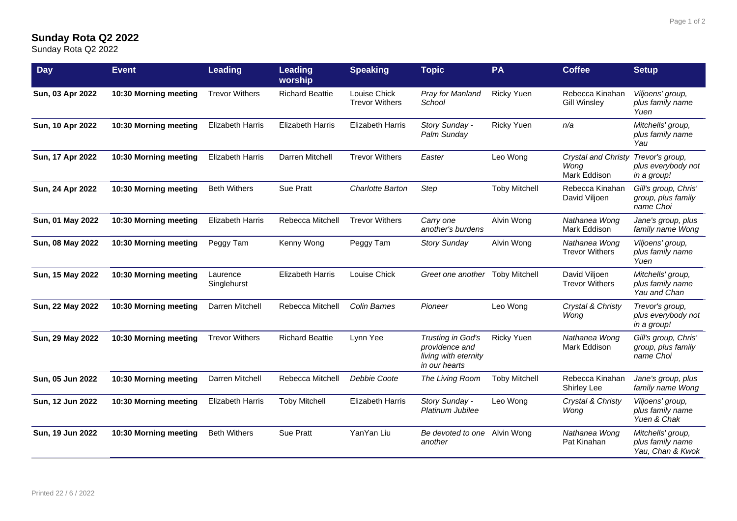## **Sunday Rota Q2 2022**

Sunday Rota Q2 2022

| <b>Day</b>       | <b>Event</b>          | <b>Leading</b>          | Leading<br>worship      | <b>Speaking</b>                       | <b>Topic</b>                                                                 | <b>PA</b>            | <b>Coffee</b>                               | <b>Setup</b>                                              |
|------------------|-----------------------|-------------------------|-------------------------|---------------------------------------|------------------------------------------------------------------------------|----------------------|---------------------------------------------|-----------------------------------------------------------|
| Sun, 03 Apr 2022 | 10:30 Morning meeting | <b>Trevor Withers</b>   | <b>Richard Beattie</b>  | Louise Chick<br><b>Trevor Withers</b> | Pray for Manland<br>School                                                   | <b>Ricky Yuen</b>    | Rebecca Kinahan<br><b>Gill Winsley</b>      | Viljoens' group,<br>plus family name<br>Yuen              |
| Sun, 10 Apr 2022 | 10:30 Morning meeting | <b>Elizabeth Harris</b> | <b>Elizabeth Harris</b> | <b>Elizabeth Harris</b>               | Story Sunday -<br>Palm Sunday                                                | <b>Ricky Yuen</b>    | n/a                                         | Mitchells' group,<br>plus family name<br>Yau              |
| Sun, 17 Apr 2022 | 10:30 Morning meeting | <b>Elizabeth Harris</b> | Darren Mitchell         | <b>Trevor Withers</b>                 | Easter                                                                       | Leo Wong             | Crystal and Christy<br>Wong<br>Mark Eddison | Trevor's group,<br>plus everybody not<br>in a group!      |
| Sun, 24 Apr 2022 | 10:30 Morning meeting | <b>Beth Withers</b>     | Sue Pratt               | Charlotte Barton                      | Step                                                                         | <b>Toby Mitchell</b> | Rebecca Kinahan<br>David Viljoen            | Gill's group, Chris'<br>group, plus family<br>name Choi   |
| Sun, 01 May 2022 | 10:30 Morning meeting | <b>Elizabeth Harris</b> | Rebecca Mitchell        | <b>Trevor Withers</b>                 | Carry one<br>another's burdens                                               | Alvin Wong           | Nathanea Wong<br>Mark Eddison               | Jane's group, plus<br>family name Wong                    |
| Sun, 08 May 2022 | 10:30 Morning meeting | Peggy Tam               | Kenny Wong              | Peggy Tam                             | <b>Story Sunday</b>                                                          | Alvin Wong           | Nathanea Wong<br><b>Trevor Withers</b>      | Viljoens' group,<br>plus family name<br>Yuen              |
| Sun, 15 May 2022 | 10:30 Morning meeting | Laurence<br>Singlehurst | <b>Elizabeth Harris</b> | Louise Chick                          | Greet one another Toby Mitchell                                              |                      | David Viljoen<br><b>Trevor Withers</b>      | Mitchells' group,<br>plus family name<br>Yau and Chan     |
| Sun, 22 May 2022 | 10:30 Morning meeting | Darren Mitchell         | Rebecca Mitchell        | <b>Colin Barnes</b>                   | Pioneer                                                                      | Leo Wong             | Crystal & Christy<br>Wong                   | Trevor's group,<br>plus everybody not<br>in a group!      |
| Sun, 29 May 2022 | 10:30 Morning meeting | <b>Trevor Withers</b>   | <b>Richard Beattie</b>  | Lynn Yee                              | Trusting in God's<br>providence and<br>living with eternity<br>in our hearts | <b>Ricky Yuen</b>    | Nathanea Wong<br>Mark Eddison               | Gill's group, Chris'<br>group, plus family<br>name Choi   |
| Sun, 05 Jun 2022 | 10:30 Morning meeting | Darren Mitchell         | Rebecca Mitchell        | Debbie Coote                          | The Living Room                                                              | <b>Toby Mitchell</b> | Rebecca Kinahan<br>Shirley Lee              | Jane's group, plus<br>family name Wong                    |
| Sun, 12 Jun 2022 | 10:30 Morning meeting | <b>Elizabeth Harris</b> | <b>Toby Mitchell</b>    | <b>Elizabeth Harris</b>               | Story Sunday -<br>Platinum Jubilee                                           | Leo Wong             | Crystal & Christy<br>Wong                   | Viljoens' group,<br>plus family name<br>Yuen & Chak       |
| Sun, 19 Jun 2022 | 10:30 Morning meeting | <b>Beth Withers</b>     | Sue Pratt               | YanYan Liu                            | Be devoted to one Alvin Wong<br>another                                      |                      | Nathanea Wong<br>Pat Kinahan                | Mitchells' group,<br>plus family name<br>Yau, Chan & Kwok |